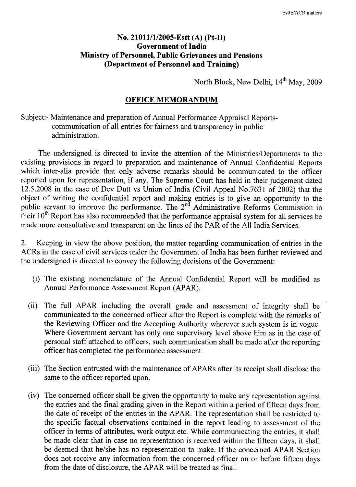## No. 21011/1/2005-Estt (A) (Pt-II) Government of India Ministry of Personnel, Public Grievances and Pensions (Department of Personnel and Training)

North Block, New Delhi,  $14^{th}$  May, 2009

## **OFFICE MEMORANDUM**

Subject:- Maintenance and preparation of Annual Performance Appraisal Reportscommunication of all entries for fairness and transparency in public administration.

The undersigned is directed to invite the attention of the Ministries/Departments to the existing provisions in regard to preparation and maintenance of Annual Confidential Reports which inter-alia provide that only adverse remarks should be communicated to the officer reported upon for representation, if any. The Supreme Court has held in their judgement dated 12.5.2008 in the case of Dev Dutt vs Union of India (Civil Appeal No.7631 of 2002) that the object of writing the confidential report and making entries is to give an opportunity to the public servant to improve the performance. The 2<sup>nd</sup> Administrative Reforms Commission in their  $10<sup>th</sup>$  Report has also recommended that the performance appraisal system for all services be made more consultative and transparent on the lines of the PAR of the All India Services.

2. Keeping in view the above position, the matter regarding communication of entries in the ACRs in the case of civil services under the Government of India has been further reviewed and the undersigned is directed to convey the following decisions of the Government:-

- (i) The existing nomenclature of the Annual Confidential Report will be modified as Annual Performance Assessment Report (APAR).
- (ii) The full APAR including the overall grade and assessment of integrity shall be communicated to the concerned officer after the Report is complete with the remarks of the Reviewing Officer and the Accepting Authority wherever such system is in vogue. Where Government servant has only one supervisory level above him as in the case of personal staff attached to officers, such communication shall be made after the reporting officer has completed the performance assessment.
- (iii) The Section entrusted with the maintenance of APARs after its receipt shall disclose the same to the officer reported upon.
- (iv) The concerned officer shall be given the opportunity to make any representation against the entries and the final grading given in the Report within a period of fifteen days from the date of receipt of the entries in the APAR. The representation shall be restricted to the specific factual observations contained in the report leading to assessment of the officer in terms of attributes, work output etc. While communicating the entries, it shall be made clear that in case no representation is received within the fifteen days, it shall be deemed that he/she has no representation to make. If the concerned APAR Section does not receive any information from the concerned officer on or before fifteen days from the date of disclosure, the APAR will be treated as final.